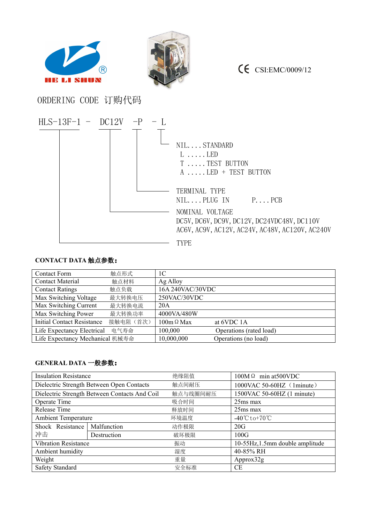



CSI:EMC/0009/12

ORDERING CODE 订购代码



## **CONTACT DATA** 触点参数:

| <b>Contact Form</b>               | 触点形式      | 1 <sup>C</sup>    |                         |
|-----------------------------------|-----------|-------------------|-------------------------|
| <b>Contact Material</b>           | 触点材料      | Ag Alloy          |                         |
| <b>Contact Ratings</b>            | 触点负载      | 16A 240VAC/30VDC  |                         |
| Max Switching Voltage             | 最大转换电压    | 250VAC/30VDC      |                         |
| Max Switching Current             | 最大转换电流    | 20A               |                         |
| Max Switching Power               | 最大转换功率    | 4000VA/480W       |                         |
| <b>Initial Contact Resistance</b> | 接触电阻 (首次) | $100m \Omega$ Max | at 6VDC 1A              |
| Life Expectancy Electrical        | 电气寿命      | 100,000           | Operations (rated load) |
| Life Expectancy Mechanical 机械寿命   |           | 10,000,000        | Operations (no load)    |

## **GENERAL DATA** 一般参数:

| <b>Insulation Resistance</b>                  |             | 绝缘阻值     | $100M \Omega$ min at 500 VDC         |  |
|-----------------------------------------------|-------------|----------|--------------------------------------|--|
| Dielectric Strength Between Open Contacts     |             | 触点间耐压    | 1000VAC 50-60HZ (1minute)            |  |
| Dielectric Strength Between Contacts And Coil |             | 触点与线圈间耐压 | 1500VAC 50-60HZ (1 minute)           |  |
| Operate Time                                  |             | 吸合时间     | $25ms$ max                           |  |
| Release Time                                  |             | 释放时间     | $25ms$ max                           |  |
| <b>Ambient Temperature</b>                    |             | 环境温度     | $-40^{\circ}$ C to + 70 $^{\circ}$ C |  |
| Shock Resistance                              | Malfunction | 动作极限     | 20G                                  |  |
| 冲击                                            | Destruction | 破坏极限     | 100G                                 |  |
| <b>Vibration Resistance</b><br>振动             |             |          | 10-55Hz, 1.5mm double amplitude      |  |
| Ambient humidity                              |             | 湿度       | 40-85% RH                            |  |
| Weight                                        |             | 重量       | Approx32g                            |  |
| <b>Safety Standard</b>                        |             | 安全标准     | <b>CE</b>                            |  |